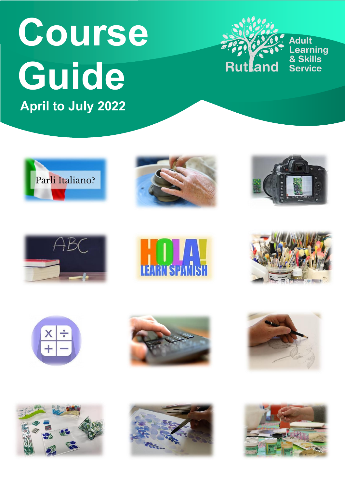# **Course Guide April to July 2022**



**Adult Learning**<br>& Skills **Service** 























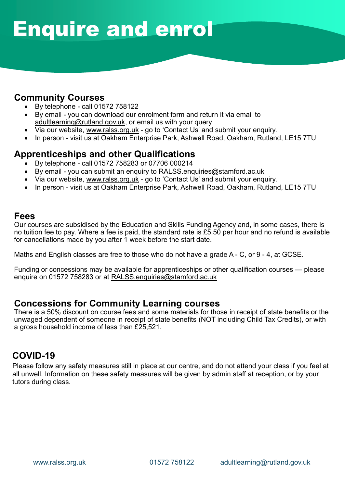### ` Enquire and enrol

#### **Community Courses**

- By telephone call 01572 758122
- By email you can download our enrolment form and return it via email to [adultlearning@rutland.gov.uk,](mailto:adultlearning@rutland.gov.uk) or email us with your query
- Via our website, [www.ralss.org.uk](http://www.ralss.org.uk/) go to 'Contact Us' and submit your enquiry.
- In person visit us at Oakham Enterprise Park, Ashwell Road, Oakham, Rutland, LE15 7TU

#### **Apprenticeships and other Qualifications**

- By telephone call 01572 758283 or 07706 000214
- By email you can submit an enquiry to [RALSS.enquiries@stamford.ac.uk](mailto:RALSS.enquiries@stamford.ac.uk)
- Via our website, [www.ralss.org.uk](http://www.ralss.org.uk/) go to 'Contact Us' and submit your enquiry.
- In person visit us at Oakham Enterprise Park, Ashwell Road, Oakham, Rutland, LE15 7TU

#### **Fees**

Our courses are subsidised by the Education and Skills Funding Agency and, in some cases, there is no tuition fee to pay. Where a fee is paid, the standard rate is £5.50 per hour and no refund is available for cancellations made by you after 1 week before the start date.

Maths and English classes are free to those who do not have a grade A - C, or 9 - 4, at GCSE.

Funding or concessions may be available for apprenticeships or other qualification courses — please enquire on 01572 758283 or at [RALSS.enquiries@stamford.ac.uk](mailto:RALSS.enquiries@stamford.ac.uk)

#### **Concessions for Community Learning courses**

There is a 50% discount on course fees and some materials for those in receipt of state benefits or the unwaged dependent of someone in receipt of state benefits (NOT including Child Tax Credits), or with a gross household income of less than £25,521.

#### **COVID-19**

Please follow any safety measures still in place at our centre, and do not attend your class if you feel at all unwell. Information on these safety measures will be given by admin staff at reception, or by your tutors during class.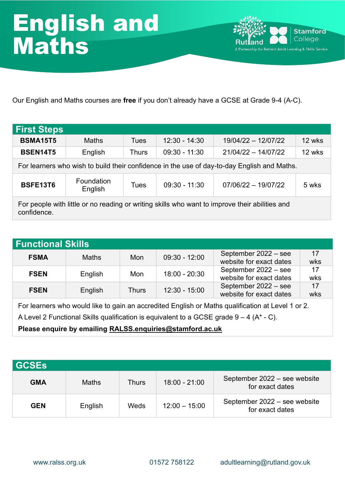

Our English and Maths courses are **free** if you don't already have a GCSE at Grade 9-4 (A-C).

| <b>First Steps</b>                                                                                            |              |       |                 |                                                                                             |        |  |  |  |
|---------------------------------------------------------------------------------------------------------------|--------------|-------|-----------------|---------------------------------------------------------------------------------------------|--------|--|--|--|
| <b>BSMA15T5</b>                                                                                               | <b>Maths</b> | Tues  | $12:30 - 14:30$ | 19/04/22 - 12/07/22                                                                         | 12 wks |  |  |  |
| <b>BSEN14T5</b>                                                                                               | English      | Thurs | $09:30 - 11:30$ | $21/04/22 - 14/07/22$                                                                       | 12 wks |  |  |  |
|                                                                                                               |              |       |                 | For learners who wish to build their confidence in the use of day-to-day English and Maths. |        |  |  |  |
| Foundation<br><b>BSFE13T6</b><br>$09:30 - 11:30$<br>$07/06/22 - 19/07/22$<br>5 wks<br>Tues<br>English         |              |       |                 |                                                                                             |        |  |  |  |
| For people with little or no reading or writing skills who want to improve their abilities and<br>confidence. |              |       |                 |                                                                                             |        |  |  |  |

| Functional Skills                                                                                 |              |              |                 |                                                 |           |  |  |  |  |
|---------------------------------------------------------------------------------------------------|--------------|--------------|-----------------|-------------------------------------------------|-----------|--|--|--|--|
| <b>FSMA</b>                                                                                       | <b>Maths</b> | Mon          | $09:30 - 12:00$ | September 2022 - see<br>website for exact dates | 17<br>wks |  |  |  |  |
| <b>FSEN</b>                                                                                       | English      | Mon          | 18:00 - 20:30   | September 2022 - see<br>website for exact dates | 17<br>wks |  |  |  |  |
| <b>FSEN</b>                                                                                       | English      | <b>Thurs</b> | $12:30 - 15:00$ | September 2022 - see<br>website for exact dates | 17<br>wks |  |  |  |  |
| For learners who would like to gain an accredited English or Maths qualification at Level 1 or 2. |              |              |                 |                                                 |           |  |  |  |  |

A Level 2 Functional Skills qualification is equivalent to a GCSE grade  $9 - 4$  (A $*$  - C).

**Please enquire by emailing [RALSS.enquiries@stamford.ac.uk](mailto:RALSS.enquiries@stamford.ac.uk)**

| <b>GCSEs</b> |              |              |                 |                                                 |
|--------------|--------------|--------------|-----------------|-------------------------------------------------|
| <b>GMA</b>   | <b>Maths</b> | <b>Thurs</b> | $18:00 - 21:00$ | September 2022 - see website<br>for exact dates |
| <b>GEN</b>   | English      | Weds         | $12:00 - 15:00$ | September 2022 - see website<br>for exact dates |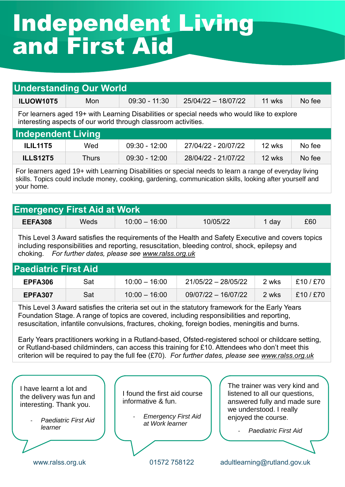### ` Independent Living and First Aid

| <b>Understanding Our World</b>                                                       |                                                                                                                                                               |                 |                     |        |        |  |  |  |  |  |
|--------------------------------------------------------------------------------------|---------------------------------------------------------------------------------------------------------------------------------------------------------------|-----------------|---------------------|--------|--------|--|--|--|--|--|
| ILUOW10T5                                                                            | Mon                                                                                                                                                           | $09:30 - 11:30$ | 25/04/22 - 18/07/22 | 11 wks | No fee |  |  |  |  |  |
|                                                                                      | For learners aged 19+ with Learning Disabilities or special needs who would like to explore<br>interesting aspects of our world through classroom activities. |                 |                     |        |        |  |  |  |  |  |
| Independent Living                                                                   |                                                                                                                                                               |                 |                     |        |        |  |  |  |  |  |
| <b>ILIL11T5</b><br>No fee<br>$09:30 - 12:00$<br>27/04/22 - 20/07/22<br>12 wks<br>Wed |                                                                                                                                                               |                 |                     |        |        |  |  |  |  |  |
| <b>ILLS12T5</b>                                                                      | Thurs                                                                                                                                                         | $09:30 - 12:00$ | 28/04/22 - 21/07/22 | 12 wks | No fee |  |  |  |  |  |

For learners aged 19+ with Learning Disabilities or special needs to learn a range of everyday living skills. Topics could include money, cooking, gardening, communication skills, looking after yourself and your home.

| <b>Emergency First Aid at Work \</b> |      |                 |          |     |     |
|--------------------------------------|------|-----------------|----------|-----|-----|
| EEFA308                              | Weds | $10:00 - 16:00$ | 10/05/22 | dav | £60 |

This Level 3 Award satisfies the requirements of the Health and Safety Executive and covers topics including responsibilities and reporting, resuscitation, bleeding control, shock, epilepsy and choking. *For further dates, please see [www.ralss.org.uk](http://www.ralss.org.uk/)*

| <b>Paediatric First Aid</b> |     |                 |                       |       |         |
|-----------------------------|-----|-----------------|-----------------------|-------|---------|
| EPFA306                     | Sat | $10:00 - 16:00$ | 21/05/22 - 28/05/22   | 2 wks | £10/£70 |
| EPFA307                     | Sat | $10:00 - 16:00$ | $09/07/22 - 16/07/22$ | 2 wks | f10/570 |

This Level 3 Award satisfies the criteria set out in the statutory framework for the Early Years Foundation Stage. A range of topics are covered, including responsibilities and reporting, resuscitation, infantile convulsions, fractures, choking, foreign bodies, meningitis and burns.

Early Years practitioners working in a Rutland-based, Ofsted-registered school or childcare setting, or Rutland-based childminders, can access this training for £10. Attendees who don't meet this criterion will be required to pay the full fee (£70). *For further dates, please see [www.ralss.org.uk](http://www.ralss.org.uk/)*

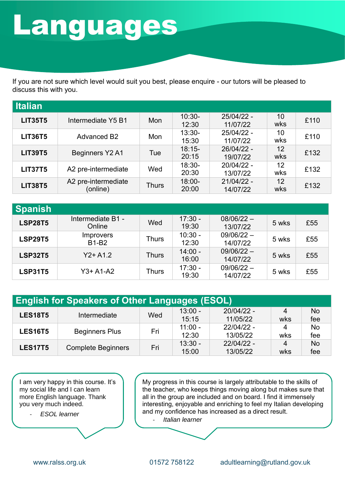## **Languages**

If you are not sure which level would suit you best, please enquire - our tutors will be pleased to discuss this with you.

| <b>Italian</b> |                                 |            |                    |                          |           |      |
|----------------|---------------------------------|------------|--------------------|--------------------------|-----------|------|
| <b>LIT35T5</b> | Intermediate Y5 B1              | <b>Mon</b> | $10:30-$<br>12:30  | $25/04/22 -$<br>11/07/22 | 10<br>wks | £110 |
| <b>LIT36T5</b> | <b>Advanced B2</b>              | Mon        | $13:30-$<br>15:30  | 25/04/22 -<br>11/07/22   | 10<br>wks | £110 |
| <b>LIT39T5</b> | Beginners Y2 A1                 | Tue        | $18:15-$<br>20:15  | 26/04/22 -<br>19/07/22   | 12<br>wks | £132 |
| <b>LIT37T5</b> | A2 pre-intermediate             | Wed        | $18:30-$<br>20:30  | 20/04/22 -<br>13/07/22   | 12<br>wks | £132 |
| <b>LIT38T5</b> | A2 pre-intermediate<br>(online) | Thurs      | $18:00 -$<br>20:00 | $21/04/22 -$<br>14/07/22 | 12<br>wks | £132 |

| <b>Spanish</b> |                                  |              |                    |                          |       |     |
|----------------|----------------------------------|--------------|--------------------|--------------------------|-------|-----|
| <b>LSP28T5</b> | Intermediate B1 -<br>Online      | Wed          | $17:30 -$<br>19:30 | $08/06/22 -$<br>13/07/22 | 5 wks | £55 |
| <b>LSP29T5</b> | <b>Improvers</b><br><b>B1-B2</b> | <b>Thurs</b> | $10:30 -$<br>12:30 | $09/06/22 -$<br>14/07/22 | 5 wks | £55 |
| <b>LSP32T5</b> | $Y2+ A1.2$                       | <b>Thurs</b> | $14:00 -$<br>16:00 | $09/06/22 -$<br>14/07/22 | 5 wks | £55 |
| <b>LSP31T5</b> | $Y3+ A1-A2$                      | Thurs        | $17:30 -$<br>19:30 | $09/06/22 -$<br>14/07/22 | 5 wks | £55 |

| <b>English for Speakers of Other Languages (ESOL)</b> |                           |     |           |              |     |           |  |  |  |
|-------------------------------------------------------|---------------------------|-----|-----------|--------------|-----|-----------|--|--|--|
| <b>LES18T5</b>                                        | Intermediate              | Wed | $13:00 -$ | $20/04/22 -$ | 4   | <b>No</b> |  |  |  |
|                                                       |                           |     | 15:15     | 11/05/22     | wks | fee       |  |  |  |
| <b>LES16T5</b>                                        | <b>Beginners Plus</b>     | Fri | $11:00 -$ | 22/04/22 -   | 4   | <b>No</b> |  |  |  |
|                                                       |                           |     | 12:30     | 13/05/22     | wks | fee       |  |  |  |
| <b>LES17T5</b>                                        |                           | Fri | $13:30 -$ | $22/04/22 -$ | 4   | <b>No</b> |  |  |  |
|                                                       | <b>Complete Beginners</b> |     | 15:00     | 13/05/22     | wks | fee       |  |  |  |

I am very happy in this course. It's my social life and I can learn more English language. Thank you very much indeed.

- *ESOL learner*

My progress in this course is largely attributable to the skills of the teacher, who keeps things moving along but makes sure that all in the group are included and on board. I find it immensely interesting, enjoyable and enriching to feel my Italian developing and my confidence has increased as a direct result. - *Italian learner*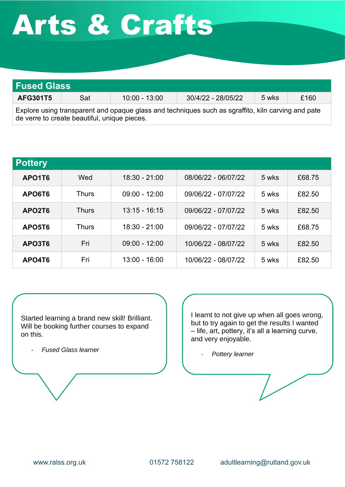## ` Arts & Crafts

| <b>Fused Glass</b> |     |                 |                    |       |      |
|--------------------|-----|-----------------|--------------------|-------|------|
| <b>AFG301T5</b>    | Sat | $10:00 - 13:00$ | 30/4/22 - 28/05/22 | 5 wks | £160 |
|                    |     |                 |                    |       |      |

Explore using transparent and opaque glass and techniques such as sgraffito, kiln carving and pate de verre to create beautiful, unique pieces.

| <b>Pottery</b> |              |                 |                     |       |        |
|----------------|--------------|-----------------|---------------------|-------|--------|
| APO1T6         | Wed          | $18:30 - 21:00$ | 08/06/22 - 06/07/22 | 5 wks | £68.75 |
| APO6T6         | <b>Thurs</b> | $09:00 - 12:00$ | 09/06/22 - 07/07/22 | 5 wks | £82.50 |
| APO2T6         | Thurs        | $13:15 - 16:15$ | 09/06/22 - 07/07/22 | 5 wks | £82.50 |
| APO5T6         | <b>Thurs</b> | $18:30 - 21:00$ | 09/06/22 - 07/07/22 | 5 wks | £68.75 |
| APO3T6         | Fri          | $09:00 - 12:00$ | 10/06/22 - 08/07/22 | 5 wks | £82.50 |
| APO4T6         | Fri          | $13:00 - 16:00$ | 10/06/22 - 08/07/22 | 5 wks | £82.50 |

Started learning a brand new skill! Brilliant. Will be booking further courses to expand on this.

- *Fused Glass learner*

I learnt to not give up when all goes wrong, but to try again to get the results I wanted – life, art, pottery, it's all a learning curve, and very enjoyable.

- *Pottery learner*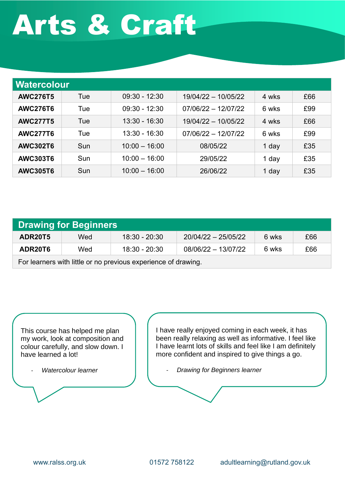# ` Arts & Craft

| Watercolour     |     |                 |                       |       |     |
|-----------------|-----|-----------------|-----------------------|-------|-----|
| <b>AWC276T5</b> | Tue | $09:30 - 12:30$ | 19/04/22 - 10/05/22   | 4 wks | £66 |
| <b>AWC276T6</b> | Tue | $09:30 - 12:30$ | $07/06/22 - 12/07/22$ | 6 wks | £99 |
| <b>AWC277T5</b> | Tue | $13:30 - 16:30$ | 19/04/22 - 10/05/22   | 4 wks | £66 |
| <b>AWC277T6</b> | Tue | $13:30 - 16:30$ | $07/06/22 - 12/07/22$ | 6 wks | £99 |
| <b>AWC302T6</b> | Sun | $10:00 - 16:00$ | 08/05/22              | 1 day | £35 |
| <b>AWC303T6</b> | Sun | $10:00 - 16:00$ | 29/05/22              | 1 day | £35 |
| <b>AWC305T6</b> | Sun | $10:00 - 16:00$ | 26/06/22              | 1 day | £35 |

| Drawing for Beginners                                         |     |                 |                       |       |     |  |
|---------------------------------------------------------------|-----|-----------------|-----------------------|-------|-----|--|
| ADR20T5                                                       | Wed | $18:30 - 20:30$ | $20/04/22 - 25/05/22$ | 6 wks | £66 |  |
| ADR20T6                                                       | Wed | $18:30 - 20:30$ | $08/06/22 - 13/07/22$ | 6 wks | £66 |  |
| For learners with little or no previous experience of drawing |     |                 |                       |       |     |  |

previous experience or drawing.

This course has helped me plan my work, look at composition and colour carefully, and slow down. I have learned a lot!

- *Watercolour learner*

I have really enjoyed coming in each week, it has been really relaxing as well as informative. I feel like I have learnt lots of skills and feel like I am definitely more confident and inspired to give things a go.

- *Drawing for Beginners learner*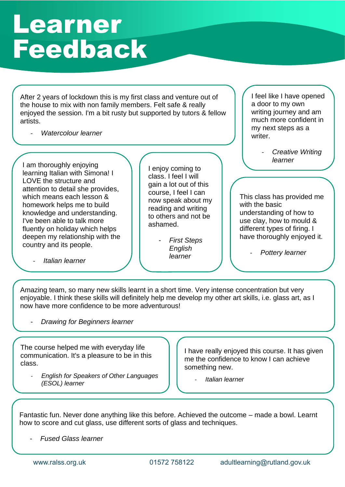### Learner Feedback

After 2 years of lockdown this is my first class and venture out of the house to mix with non family members. Felt safe & really enjoyed the session. I'm a bit rusty but supported by tutors & fellow artists.

`

- *Watercolour learner*

I am thoroughly enjoying learning Italian with Simona! I LOVE the structure and attention to detail she provides, which means each lesson & homework helps me to build knowledge and understanding. I've been able to talk more fluently on holiday which helps deepen my relationship with the country and its people.

- *Italian learner*

I enjoy coming to class. I feel I will gain a lot out of this course, I feel I can now speak about my reading and writing to others and not be ashamed.

> - *First Steps English learner*

I feel like I have opened a door to my own writing journey and am much more confident in my next steps as a writer.

> - *Creative Writing learner*

This class has provided me with the basic understanding of how to use clay, how to mould & different types of firing. I have thoroughly enjoyed it.

- *Pottery learner*

Amazing team, so many new skills learnt in a short time. Very intense concentration but very enjoyable. I think these skills will definitely help me develop my other art skills, i.e. glass art, as I now have more confidence to be more adventurous!

- *Drawing for Beginners learner*

The course helped me with everyday life communication. It's a pleasure to be in this class.

- *English for Speakers of Other Languages (ESOL) learner*

I have really enjoyed this course. It has given me the confidence to know I can achieve something new.

- *Italian learner*

Fantastic fun. Never done anything like this before. Achieved the outcome – made a bowl. Learnt how to score and cut glass, use different sorts of glass and techniques.

- *Fused Glass learner*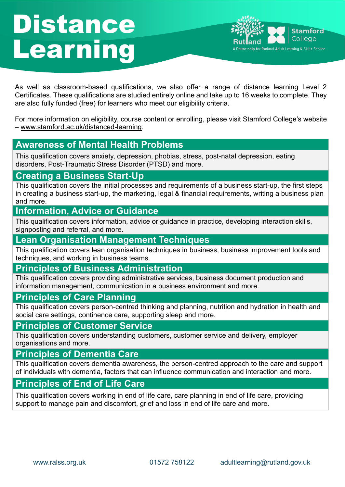### **Distance** Learning



As well as classroom-based qualifications, we also offer a range of distance learning Level 2 Certificates. These qualifications are studied entirely online and take up to 16 weeks to complete. They are also fully funded (free) for learners who meet our eligibility criteria.

`

For more information on eligibility, course content or enrolling, please visit Stamford College's website – [www.stamford.ac.uk/distanced-learning.](http://www.stamford.ac.uk/distanced-learning)

#### **Awareness of Mental Health Problems**

This qualification covers anxiety, depression, phobias, stress, post-natal depression, eating disorders, Post-Traumatic Stress Disorder (PTSD) and more.

#### **Creating a Business Start-Up**

This qualification covers the initial processes and requirements of a business start-up, the first steps in creating a business start-up, the marketing, legal & financial requirements, writing a business plan and more.

#### **Information, Advice or Guidance**

This qualification covers information, advice or guidance in practice, developing interaction skills, signposting and referral, and more.

#### **Lean Organisation Management Techniques**

This qualification covers lean organisation techniques in business, business improvement tools and techniques, and working in business teams.

#### **Principles of Business Administration**

This qualification covers providing administrative services, business document production and information management, communication in a business environment and more.

#### **Principles of Care Planning**

This qualification covers person-centred thinking and planning, nutrition and hydration in health and social care settings, continence care, supporting sleep and more.

#### **Principles of Customer Service**

This qualification covers understanding customers, customer service and delivery, employer organisations and more.

#### **Principles of Dementia Care**

This qualification covers dementia awareness, the person-centred approach to the care and support of individuals with dementia, factors that can influence communication and interaction and more.

#### **Principles of End of Life Care**

This qualification covers working in end of life care, care planning in end of life care, providing support to manage pain and discomfort, grief and loss in end of life care and more.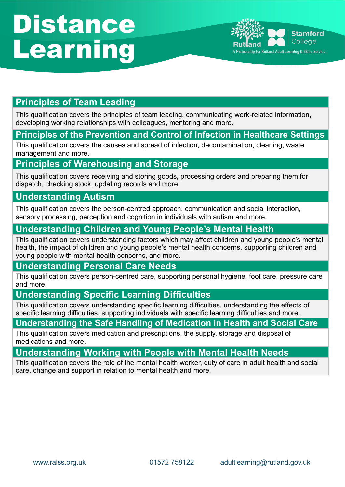## **Distance** Learning



#### **Principles of Team Leading**

This qualification covers the principles of team leading, communicating work-related information, developing working relationships with colleagues, mentoring and more.

`

#### **Principles of the Prevention and Control of Infection in Healthcare Settings**

This qualification covers the causes and spread of infection, decontamination, cleaning, waste management and more.

#### **Principles of Warehousing and Storage**

This qualification covers receiving and storing goods, processing orders and preparing them for dispatch, checking stock, updating records and more.

#### **Understanding Autism**

This qualification covers the person-centred approach, communication and social interaction, sensory processing, perception and cognition in individuals with autism and more.

#### **Understanding Children and Young People's Mental Health**

This qualification covers understanding factors which may affect children and young people's mental health, the impact of children and young people's mental health concerns, supporting children and young people with mental health concerns, and more.

#### **Understanding Personal Care Needs**

This qualification covers person-centred care, supporting personal hygiene, foot care, pressure care and more.

#### **Understanding Specific Learning Difficulties**

This qualification covers understanding specific learning difficulties, understanding the effects of specific learning difficulties, supporting individuals with specific learning difficulties and more.

#### **Understanding the Safe Handling of Medication in Health and Social Care**

This qualification covers medication and prescriptions, the supply, storage and disposal of medications and more.

#### **Understanding Working with People with Mental Health Needs**

This qualification covers the role of the mental health worker, duty of care in adult health and social care, change and support in relation to mental health and more.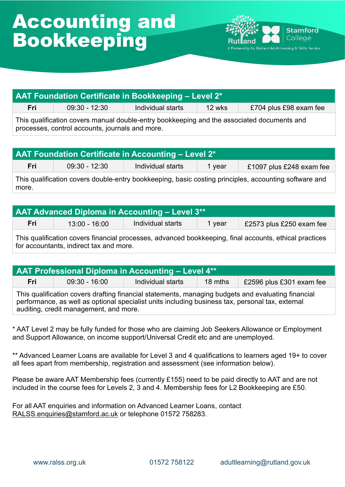

| <b>AAT Foundation Certificate in Bookkeeping - Level 2*</b> |                 |                   |          |                        |  |
|-------------------------------------------------------------|-----------------|-------------------|----------|------------------------|--|
| Fril                                                        | $09:30 - 12:30$ | Individual starts | $12$ wks | £704 plus £98 exam fee |  |
|                                                             |                 |                   |          |                        |  |

This qualification covers manual double-entry bookkeeping and the associated documents and processes, control accounts, journals and more.

| <b>AAT Foundation Certificate in Accounting – Level 2*</b>                                            |                 |                   |        |                          |  |
|-------------------------------------------------------------------------------------------------------|-----------------|-------------------|--------|--------------------------|--|
| Fri                                                                                                   | $09:30 - 12:30$ | Individual starts | 1 vear | £1097 plus £248 exam fee |  |
| This qualification covers double-entry bookkeeping, basic costing principles, accounting software and |                 |                   |        |                          |  |

**AAT Advanced Diploma in Accounting – Level 3\*\* Fri**  $\vert$  13:00 - 16:00  $\vert$  Individual starts  $\vert$  1 year  $\vert$  £2573 plus £250 exam fee

This qualification covers financial processes, advanced bookkeeping, final accounts, ethical practices for accountants, indirect tax and more.

| <b>AAT Professional Diploma in Accounting – Level 4**</b> |                 |                   |                   |                          |  |
|-----------------------------------------------------------|-----------------|-------------------|-------------------|--------------------------|--|
| Fri                                                       | $09:30 - 16:00$ | Individual starts | $18 \text{ mths}$ | £2596 plus £301 exam fee |  |
|                                                           |                 |                   |                   |                          |  |

This qualification covers drafting financial statements, managing budgets and evaluating financial performance, as well as optional specialist units including business tax, personal tax, external auditing, credit management, and more.

\* AAT Level 2 may be fully funded for those who are claiming Job Seekers Allowance or Employment and Support Allowance, on income support/Universal Credit etc and are unemployed.

\*\* Advanced Learner Loans are available for Level 3 and 4 qualifications to learners aged 19+ to cover all fees apart from membership, registration and assessment (see information below).

Please be aware AAT Membership fees (currently £155) need to be paid directly to AAT and are not included in the course fees for Levels 2, 3 and 4. Membership fees for L2 Bookkeeping are £50.

For all AAT enquiries and information on Advanced Learner Loans, contact [RALSS.enquiries@stamford.ac.uk](mailto:RALSS.enquiries@stamford.ac.uk) or telephone 01572 758283.

more.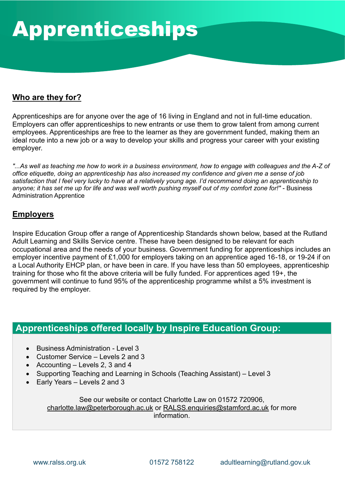#### **Who are they for?**

Apprenticeships are for anyone over the age of 16 living in England and not in full-time education. Employers can offer apprenticeships to new entrants or use them to grow talent from among current employees. Apprenticeships are free to the learner as they are government funded, making them an ideal route into a new job or a way to develop your skills and progress your career with your existing employer.

*"...As well as teaching me how to work in a business environment, how to engage with colleagues and the A-Z of office etiquette, doing an apprenticeship has also increased my confidence and given me a sense of job satisfaction that I feel very lucky to have at a relatively young age. I'd recommend doing an apprenticeship to*  anyone; it has set me up for life and was well worth pushing myself out of my comfort zone for!" - Business Administration Apprentice

#### **Employers**

Inspire Education Group offer a range of Apprenticeship Standards shown below, based at the Rutland Adult Learning and Skills Service centre. These have been designed to be relevant for each occupational area and the needs of your business. Government funding for apprenticeships includes an employer incentive payment of £1,000 for employers taking on an apprentice aged 16-18, or 19-24 if on a Local Authority EHCP plan, or have been in care. If you have less than 50 employees, apprenticeship training for those who fit the above criteria will be fully funded. For apprentices aged 19+, the government will continue to fund 95% of the apprenticeship programme whilst a 5% investment is required by the employer.

#### **Apprenticeships offered locally by Inspire Education Group:**

- Business Administration Level 3
- Customer Service Levels 2 and 3
- Accounting Levels 2, 3 and 4
- Supporting Teaching and Learning in Schools (Teaching Assistant) Level 3
- Early Years Levels 2 and 3

See our website or contact Charlotte Law on 01572 720906, [charlotte.law@peterborough.ac.uk](mailto:charlotte.law@peterborough.ac.uk) or [RALSS.enquiries@stamford.ac.uk](mailto:RALSS.enquiries@stamford.ac.uk) for more information.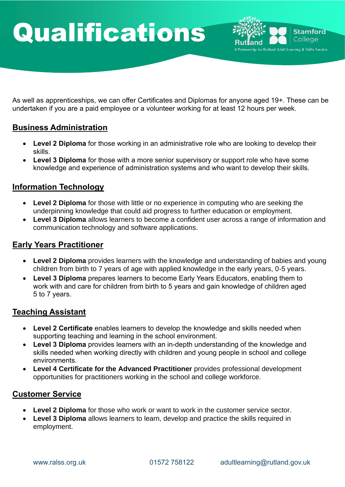### $\overline{\phantom{a}}$ Qualifications



As well as apprenticeships, we can offer Certificates and Diplomas for anyone aged 19+. These can be undertaken if you are a paid employee or a volunteer working for at least 12 hours per week.

#### **Business Administration**

- **Level 2 Diploma** for those working in an administrative role who are looking to develop their skills.
- **Level 3 Diploma** for those with a more senior supervisory or support role who have some knowledge and experience of administration systems and who want to develop their skills.

#### **Information Technology**

- **Level 2 Diploma** for those with little or no experience in computing who are seeking the underpinning knowledge that could aid progress to further education or employment.
- **Level 3 Diploma** allows learners to become a confident user across a range of information and communication technology and software applications.

#### **Early Years Practitioner**

- **Level 2 Diploma** provides learners with the knowledge and understanding of babies and young children from birth to 7 years of age with applied knowledge in the early years, 0-5 years.
- **Level 3 Diploma** prepares learners to become Early Years Educators, enabling them to work with and care for children from birth to 5 years and gain knowledge of children aged 5 to 7 years.

#### **Teaching Assistant**

- **Level 2 Certificate** enables learners to develop the knowledge and skills needed when supporting teaching and learning in the school environment.
- **Level 3 Diploma** provides learners with an in-depth understanding of the knowledge and skills needed when working directly with children and young people in school and college environments.
- **Level 4 Certificate for the Advanced Practitioner** provides professional development opportunities for practitioners working in the school and college workforce.

#### **Customer Service**

- **Level 2 Diploma** for those who work or want to work in the customer service sector.
- **Level 3 Diploma** allows learners to learn, develop and practice the skills required in employment.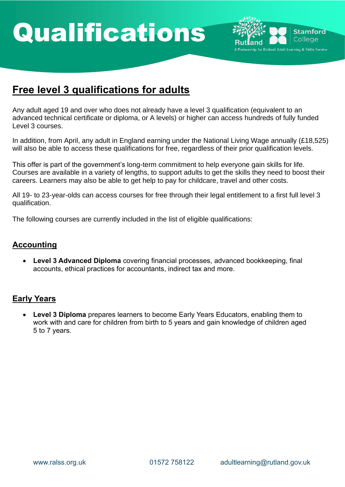### $\overline{\phantom{a}}$ Qualifications



### **Free level 3 qualifications for adults**

Any adult aged 19 and over who does not already have a level 3 qualification (equivalent to an advanced technical certificate or diploma, or A levels) or higher can access hundreds of fully funded Level 3 courses.

In addition, from April, any adult in England earning under the National Living Wage annually (£18,525) will also be able to access these qualifications for free, regardless of their prior qualification levels.

This offer is part of the government's long-term commitment to help everyone gain skills for life. Courses are available in a variety of lengths, to support adults to get the skills they need to boost their careers. Learners may also be able to get help to pay for childcare, travel and other costs.

All 19- to 23-year-olds can access courses for free through their legal entitlement to a first full level 3 qualification.

The following courses are currently included in the list of eligible qualifications:

#### **Accounting**

• **Level 3 Advanced Diploma** covering financial processes, advanced bookkeeping, final accounts, ethical practices for accountants, indirect tax and more.

#### **Early Years**

• **Level 3 Diploma** prepares learners to become Early Years Educators, enabling them to work with and care for children from birth to 5 years and gain knowledge of children aged 5 to 7 years.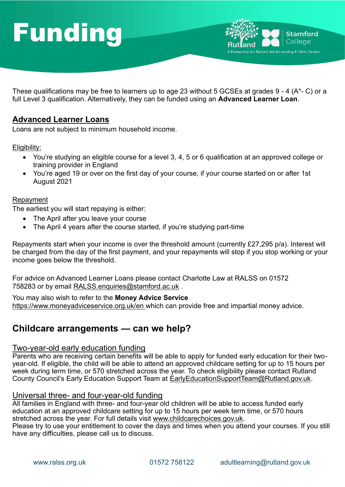## Funding



**Stamford** College

**Partnership for Rutland Adult Learning & Skills Service** 

`

#### **Advanced Learner Loans**

Loans are not subject to minimum household income.

#### Eligibility:

- You're studying an eligible course for a level 3, 4, 5 or 6 qualification at an approved college or training provider in England
- You're aged 19 or over on the first day of your course, if your course started on or after 1st August 2021

#### Repayment

The earliest you will start repaying is either:

- The April after you leave your course
- The April 4 years after the course started, if you're studying part-time

Repayments start when your income is over the threshold amount (currently £27,295 p/a). Interest will be charged from the day of the first payment, and your repayments will stop if you stop working or your income goes below the threshold.

For advice on Advanced Learner Loans please contact Charlotte Law at RALSS on 01572 758283 or by email [RALSS.enquiries@stamford.ac.uk](mailto:RALSS.enquiries@stamford.ac.uk).

You may also wish to refer to the **Money Advice Service**  <https://www.moneyadviceservice.org.uk/en>\_which can provide free and impartial money advice.

#### **Childcare arrangements — can we help?**

#### Two-year-old early education funding

Parents who are receiving certain benefits will be able to apply for funded early education for their twoyear-old. If eligible, the child will be able to attend an approved childcare setting for up to 15 hours per week during term time, or 570 stretched across the year. To check eligibility please contact Rutland County Council's Early Education Support Team at [EarlyEducationSupportTeam@Rutland.gov.uk.](mailto:EarlyEducationSupportTeam@Rutland.gov.uk)

#### Universal three- and four-year-old funding

All families in England with three- and four-year old children will be able to access funded early education at an approved childcare setting for up to 15 hours per week term time, or 570 hours stretched across the year. For full details visit [www.childcarechoices.gov.uk.](http://www.childcarechoices.gov.uk/)

Please try to use your entitlement to cover the days and times when you attend your courses. If you still have any difficulties, please call us to discuss.